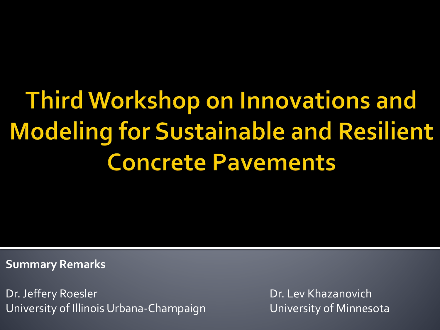# **Third Workshop on Innovations and Modeling for Sustainable and Resilient Concrete Pavements**

**Summary Remarks**

Dr. Jeffery Roesler **Dr. Lev Khazanovich** University of Illinois Urbana-Champaign **University of Minnesota**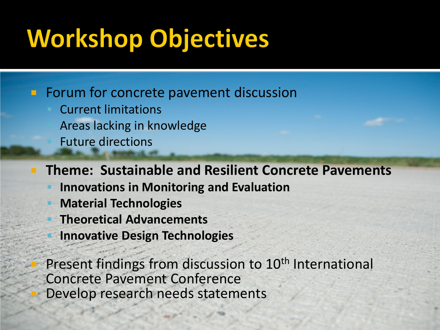#### **Workshop Objectives**

**Forum for concrete pavement discussion** 

 Current limitations Areas lacking in knowledge Future directions

**Theme: Sustainable and Resilient Concrete Pavements**

- **Innovations in Monitoring and Evaluation**
- **Material Technologies**
- **Theoretical Advancements**
- **Innovative Design Technologies**

Present findings from discussion to 10<sup>th</sup> International Concrete Pavement Conference Develop research needs statements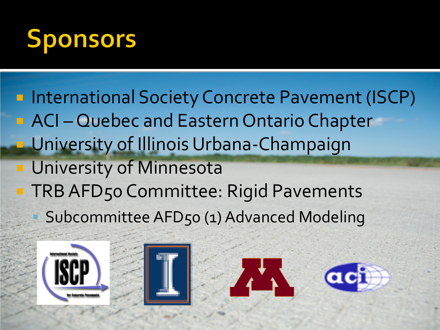

- **International Society Concrete Pavement (ISCP)** ■ ACI – Quebec and Eastern Ontario Chapter University of Illinois Urbana-Champaign University of Minnesota TRB AFD50 Committee: Rigid Pavements
	- Subcommittee AFD50 (1) Advanced Modeling







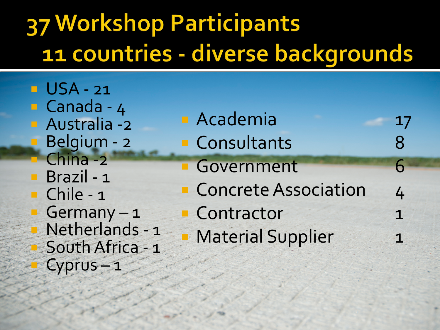#### **37 Workshop Participants** 11 countries - diverse backgrounds

**USA - 21 Canada - 4 Australia - 2 Belgium - 2 China -2 Brazil - 1 Chile - 1** Germany - 1 **Netherlands - 1 South Africa - 1** Cyprus – 1

| <b>Academia</b>             | 17 |
|-----------------------------|----|
| <b>Consultants</b>          | 8  |
| <b>Government</b>           | 6  |
| <b>Concrete Association</b> | 4  |
| <b>Contractor</b>           | 1  |
| <b>Material Supplier</b>    |    |
|                             |    |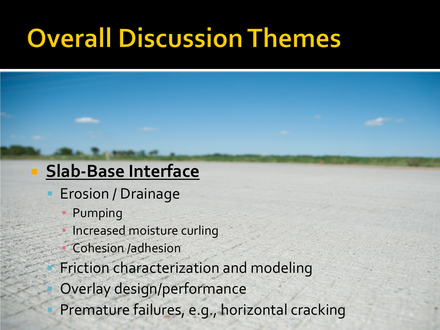### **Overall Discussion Themes**

#### **Slab-Base Interface**

- Erosion / Drainage
	- **Pumping**
	- Increased moisture curling
	- Cohesion /adhesion
- Friction characterization and modeling
	- Overlay design/performance
- Premature failures, e.g., horizontal cracking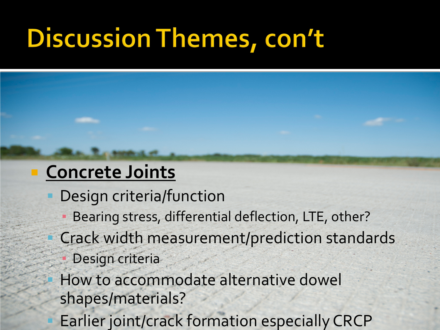### **Discussion Themes, con't**

#### **Concrete Joints**

- Design criteria/function
	- Bearing stress, differential deflection, LTE, other?
- Crack width measurement/prediction standards
	- Design criteria
- How to accommodate alternative dowel shapes/materials?
- Earlier joint/crack formation especially CRCP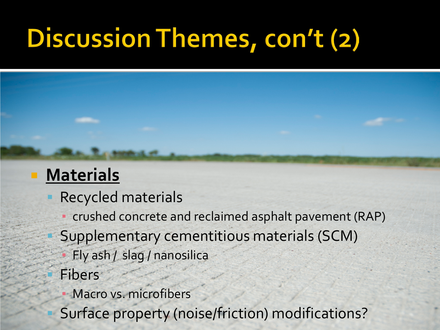# **Discussion Themes, con't (2)**

#### **Materials**

- Recycled materials
	- crushed concrete and reclaimed asphalt pavement (RAP)
- Supplementary cementitious materials (SCM)
	- Fly ash / slag / nanosilica
- Fibers
	- Macro vs. microfibers
- Surface property (noise/friction) modifications?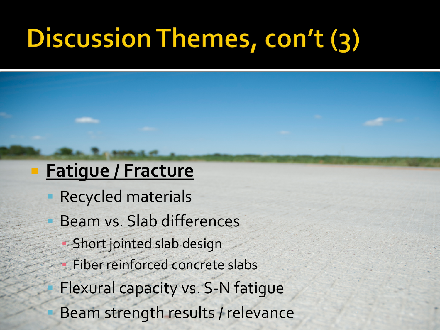# **Discussion Themes, con't (3)**

#### **Fatigue / Fracture**

- Recycled materials
- Beam vs. Slab differences
	- **Short jointed slab design**
	- Fiber reinforced concrete slabs
- Flexural capacity vs. S-N fatigue
- Beam strength results / relevance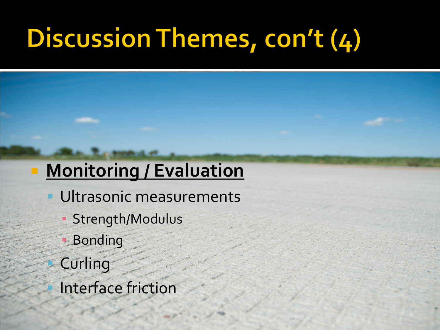# Discussion Themes, con't (4)

#### **Monitoring / Evaluation**

- Ultrasonic measurements
	- Strength/Modulus
	- **Bonding**
- Curling
- Interface friction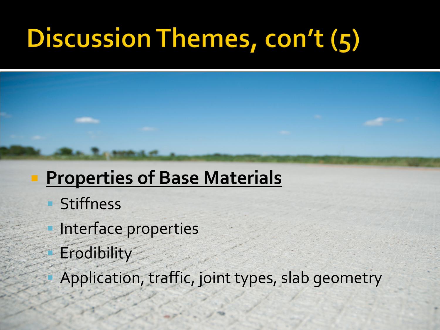# **Discussion Themes, con't (5)**

#### **Properties of Base Materials**

- **Stiffness**
- Interface properties
- **Erodibility**
- Application, traffic, joint types, slab geometry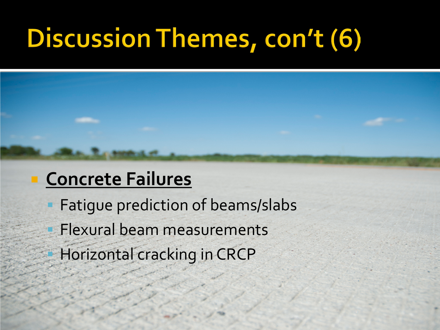### **Discussion Themes, con't (6)**

#### **Concrete Failures**

- Fatigue prediction of beams/slabs
- Flexural beam measurements
- Horizontal cracking in CRCP